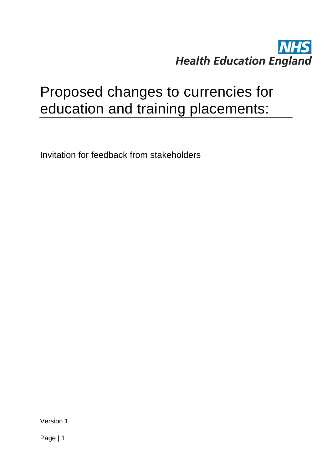# **NHS Health Education England**

# Proposed changes to currencies for education and training placements:

Invitation for feedback from stakeholders

Version 1

Page | 1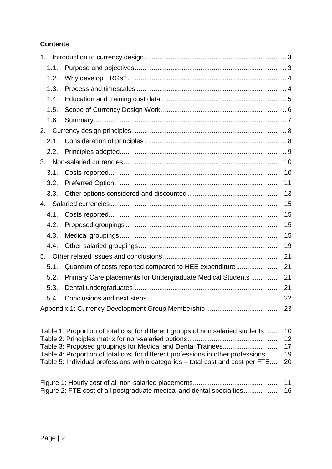### **Contents**

| 1 <sub>1</sub> |                                                                |  |
|----------------|----------------------------------------------------------------|--|
| 1.1.           |                                                                |  |
| 1.2.           |                                                                |  |
| 1.3.           |                                                                |  |
| 1.4.           |                                                                |  |
| 1.5.           |                                                                |  |
| 1.6.           |                                                                |  |
|                |                                                                |  |
| 2.1.           |                                                                |  |
| 2.2.           |                                                                |  |
|                |                                                                |  |
| 3.1.           |                                                                |  |
| 3.2.           |                                                                |  |
| 3.3.           |                                                                |  |
|                |                                                                |  |
| 4.1.           |                                                                |  |
| 4.2.           |                                                                |  |
| 4.3.           |                                                                |  |
| 4.4.           |                                                                |  |
|                |                                                                |  |
| 5.1.           | Quantum of costs reported compared to HEE expenditure 21       |  |
| 5.2.           | Primary Care placements for Undergraduate Medical Students  21 |  |
| 5.3.           |                                                                |  |
| 5.4.           |                                                                |  |
|                |                                                                |  |

[Table 1: Proportion of total cost for different groups of non salaried students..........](#page-9-2) 10 [Table 2: Principles matrix for non-salaried options...................................................](#page-11-0) 12 [Table 3: Proposed groupings for Medical and Dental Trainees................................](#page-16-0) 17 [Table 4: Proportion of total cost for different professions in other professions](#page-18-1) ......... 19 [Table 5: Individual professions within categories –](#page-19-0) total cost and cost per FTE....... 20

[Figure 1: Hourly cost of all non-salaried placements................................................](#page-10-1) 11 [Figure 2: FTE cost of all postgraduate medical and dental specialties.....................](#page-15-0) 16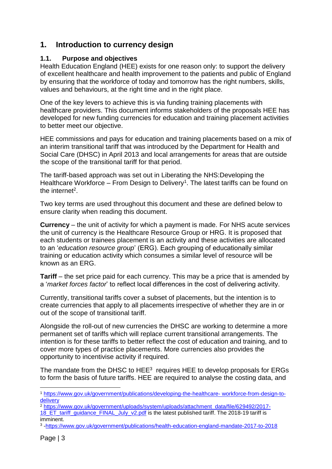# <span id="page-2-0"></span>**1. Introduction to currency design**

### <span id="page-2-1"></span>**1.1. Purpose and objectives**

Health Education England (HEE) exists for one reason only: to support the delivery of excellent healthcare and health improvement to the patients and public of England by ensuring that the workforce of today and tomorrow has the right numbers, skills, values and behaviours, at the right time and in the right place.

One of the key levers to achieve this is via funding training placements with healthcare providers. This document informs stakeholders of the proposals HEE has developed for new funding currencies for education and training placement activities to better meet our objective.

HEE commissions and pays for education and training placements based on a mix of an interim transitional tariff that was introduced by the Department for Health and Social Care (DHSC) in April 2013 and local arrangements for areas that are outside the scope of the transitional tariff for that period.

The tariff-based approach was set out in Liberating the NHS:Developing the Healthcare Workforce  $-$  From Design to Delivery<sup>1</sup>. The latest tariffs can be found on the internet<sup>2</sup>.

Two key terms are used throughout this document and these are defined below to ensure clarity when reading this document.

**Currency** – the unit of activity for which a payment is made. For NHS acute services the unit of currency is the Healthcare Resource Group or HRG. It is proposed that each students or trainees placement is an activity and these activities are allocated to an '*education resource group*' (ERG). Each grouping of educationally similar training or education activity which consumes a similar level of resource will be known as an ERG.

**Tariff** – the set price paid for each currency. This may be a price that is amended by a '*market forces factor*' to reflect local differences in the cost of delivering activity.

Currently, transitional tariffs cover a subset of placements, but the intention is to create currencies that apply to all placements irrespective of whether they are in or out of the scope of transitional tariff.

Alongside the roll-out of new currencies the DHSC are working to determine a more permanent set of tariffs which will replace current transitional arrangements. The intention is for these tariffs to better reflect the cost of education and training, and to cover more types of practice placements. More currencies also provides the opportunity to incentivise activity if required.

The mandate from the DHSC to  $HEE<sup>3</sup>$  requires HEE to develop proposals for ERGs to form the basis of future tariffs. HEE are required to analyse the costing data, and

1

<sup>1</sup> [https://www.gov.uk/government/publications/developing-the-healthcare-](https://www.gov.uk/government/publications/developing-the-healthcare-%20workforce-from-design-to-delivery) workforce-from-design-to**[delivery](https://www.gov.uk/government/publications/developing-the-healthcare-%20workforce-from-design-to-delivery)** 

<sup>2</sup> [https://www.gov.uk/government/uploads/system/uploads/attachment\\_data/file/629492/2017-](https://www.gov.uk/government/uploads/system/uploads/attachment_data/file/629492/2017-18_ET_tariff_guidance_FINAL_July_v2.pdf)

[<sup>18</sup>\\_ET\\_tariff\\_guidance\\_FINAL\\_July\\_v2.pdf](https://www.gov.uk/government/uploads/system/uploads/attachment_data/file/629492/2017-18_ET_tariff_guidance_FINAL_July_v2.pdf) is the latest published tariff. The 2018-19 tariff is imminent.

<sup>3</sup> [-https://www.gov.uk/government/publications/health-education-england-mandate-2017-to-2018](https://www.gov.uk/government/publications/health-education-england-mandate-2017-to-2018)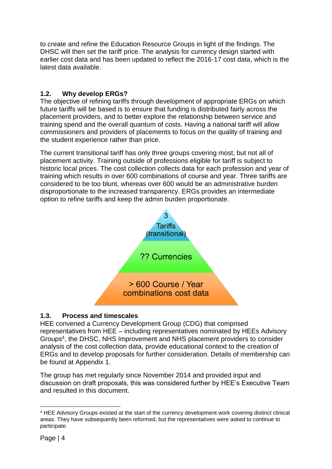to create and refine the Education Resource Groups in light of the findings. The DHSC will then set the tariff price. The analysis for currency design started with earlier cost data and has been updated to reflect the 2016-17 cost data, which is the latest data available.

### <span id="page-3-0"></span>**1.2. Why develop ERGs?**

The objective of refining tariffs through development of appropriate ERGs on which future tariffs will be based is to ensure that funding is distributed fairly across the placement providers, and to better explore the relationship between service and training spend and the overall quantum of costs. Having a national tariff will allow commissioners and providers of placements to focus on the quality of training and the student experience rather than price.

The current transitional tariff has only three groups covering most, but not all of placement activity. Training outside of professions eligible for tariff is subject to historic local prices. The cost collection collects data for each profession and year of training which results in over 600 combinations of course and year. Three tariffs are considered to be too blunt, whereas over 600 would be an administrative burden disproportionate to the increased transparency. ERGs provides an intermediate option to refine tariffs and keep the admin burden proportionate.



### <span id="page-3-1"></span>**1.3. Process and timescales**

HEE convened a Currency Development Group (CDG) that comprised representatives from HEE – including representatives nominated by HEEs Advisory Groups<sup>4</sup> , the DHSC, NHS Improvement and NHS placement providers to consider analysis of the cost collection data, provide educational context to the creation of ERGs and to develop proposals for further consideration. Details of membership can be found at Appendix 1.

The group has met regularly since November 2014 and provided input and discussion on draft proposals, this was considered further by HEE's Executive Team and resulted in this document.

<sup>1</sup> <sup>4</sup> HEE Advisory Groups existed at the start of the currency development work covering distinct clinical areas. They have subsequently been reformed, but the representatives were asked to continue to participate.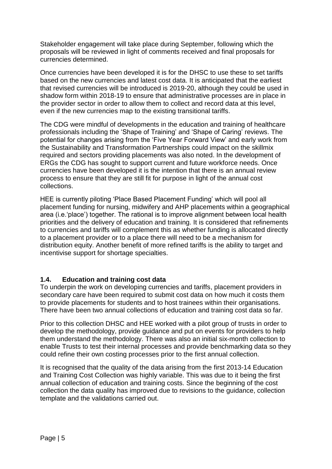Stakeholder engagement will take place during September, following which the proposals will be reviewed in light of comments received and final proposals for currencies determined.

Once currencies have been developed it is for the DHSC to use these to set tariffs based on the new currencies and latest cost data. It is anticipated that the earliest that revised currencies will be introduced is 2019-20, although they could be used in shadow form within 2018-19 to ensure that administrative processes are in place in the provider sector in order to allow them to collect and record data at this level, even if the new currencies map to the existing transitional tariffs.

The CDG were mindful of developments in the education and training of healthcare professionals including the 'Shape of Training' and 'Shape of Caring' reviews. The potential for changes arising from the 'Five Year Forward View' and early work from the Sustainability and Transformation Partnerships could impact on the skillmix required and sectors providing placements was also noted. In the development of ERGs the CDG has sought to support current and future workforce needs. Once currencies have been developed it is the intention that there is an annual review process to ensure that they are still fit for purpose in light of the annual cost collections.

HEE is currently piloting 'Place Based Placement Funding' which will pool all placement funding for nursing, midwifery and AHP placements within a geographical area (i.e.'place') together. The rational is to improve alignment between local health priorities and the delivery of education and training. It is considered that refinements to currencies and tariffs will complement this as whether funding is allocated directly to a placement provider or to a place there will need to be a mechanism for distribution equity. Another benefit of more refined tariffs is the ability to target and incentivise support for shortage specialties.

### <span id="page-4-0"></span>**1.4. Education and training cost data**

To underpin the work on developing currencies and tariffs, placement providers in secondary care have been required to submit cost data on how much it costs them to provide placements for students and to host trainees within their organisations. There have been two annual collections of education and training cost data so far.

Prior to this collection DHSC and HEE worked with a pilot group of trusts in order to develop the methodology, provide guidance and put on events for providers to help them understand the methodology. There was also an initial six-month collection to enable Trusts to test their internal processes and provide benchmarking data so they could refine their own costing processes prior to the first annual collection.

It is recognised that the quality of the data arising from the first 2013-14 Education and Training Cost Collection was highly variable. This was due to it being the first annual collection of education and training costs. Since the beginning of the cost collection the data quality has improved due to revisions to the guidance, collection template and the validations carried out.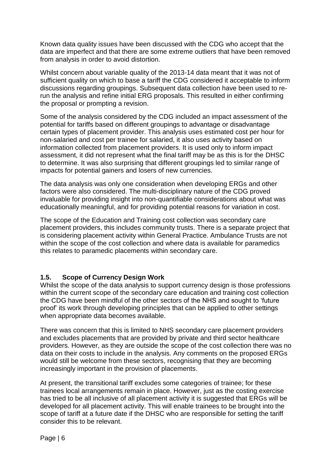Known data quality issues have been discussed with the CDG who accept that the data are imperfect and that there are some extreme outliers that have been removed from analysis in order to avoid distortion.

Whilst concern about variable quality of the 2013-14 data meant that it was not of sufficient quality on which to base a tariff the CDG considered it acceptable to inform discussions regarding groupings. Subsequent data collection have been used to rerun the analysis and refine initial ERG proposals. This resulted in either confirming the proposal or prompting a revision.

Some of the analysis considered by the CDG included an impact assessment of the potential for tariffs based on different groupings to advantage or disadvantage certain types of placement provider. This analysis uses estimated cost per hour for non-salaried and cost per trainee for salaried, it also uses activity based on information collected from placement providers. It is used only to inform impact assessment, it did not represent what the final tariff may be as this is for the DHSC to determine. It was also surprising that different groupings led to similar range of impacts for potential gainers and losers of new currencies.

The data analysis was only one consideration when developing ERGs and other factors were also considered. The multi-disciplinary nature of the CDG proved invaluable for providing insight into non-quantifiable considerations about what was educationally meaningful, and for providing potential reasons for variation in cost.

The scope of the Education and Training cost collection was secondary care placement providers, this includes community trusts. There is a separate project that is considering placement activity within General Practice. Ambulance Trusts are not within the scope of the cost collection and where data is available for paramedics this relates to paramedic placements within secondary care.

### <span id="page-5-0"></span>**1.5. Scope of Currency Design Work**

Whilst the scope of the data analysis to support currency design is those professions within the current scope of the secondary care education and training cost collection the CDG have been mindful of the other sectors of the NHS and sought to 'future proof' its work through developing principles that can be applied to other settings when appropriate data becomes available.

There was concern that this is limited to NHS secondary care placement providers and excludes placements that are provided by private and third sector healthcare providers. However, as they are outside the scope of the cost collection there was no data on their costs to include in the analysis. Any comments on the proposed ERGs would still be welcome from these sectors, recognising that they are becoming increasingly important in the provision of placements.

At present, the transitional tariff excludes some categories of trainee; for these trainees local arrangements remain in place. However, just as the costing exercise has tried to be all inclusive of all placement activity it is suggested that ERGs will be developed for all placement activity. This will enable trainees to be brought into the scope of tariff at a future date if the DHSC who are responsible for setting the tariff consider this to be relevant.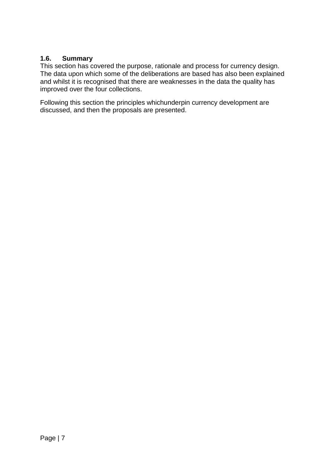### <span id="page-6-0"></span>**1.6. Summary**

This section has covered the purpose, rationale and process for currency design. The data upon which some of the deliberations are based has also been explained and whilst it is recognised that there are weaknesses in the data the quality has improved over the four collections.

Following this section the principles whichunderpin currency development are discussed, and then the proposals are presented.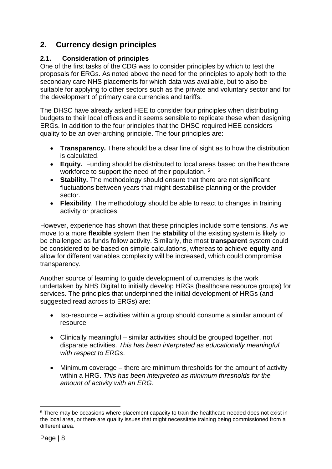# <span id="page-7-0"></span>**2. Currency design principles**

### <span id="page-7-1"></span>**2.1. Consideration of principles**

One of the first tasks of the CDG was to consider principles by which to test the proposals for ERGs. As noted above the need for the principles to apply both to the secondary care NHS placements for which data was available, but to also be suitable for applying to other sectors such as the private and voluntary sector and for the development of primary care currencies and tariffs.

The DHSC have already asked HEE to consider four principles when distributing budgets to their local offices and it seems sensible to replicate these when designing ERGs. In addition to the four principles that the DHSC required HEE considers quality to be an over-arching principle. The four principles are:

- **Transparency.** There should be a clear line of sight as to how the distribution is calculated.
- **Equity.** Funding should be distributed to local areas based on the healthcare workforce to support the need of their population.<sup>5</sup>
- **Stability.** The methodology should ensure that there are not significant fluctuations between years that might destabilise planning or the provider sector.
- **Flexibility**. The methodology should be able to react to changes in training activity or practices.

However, experience has shown that these principles include some tensions. As we move to a more **flexible** system then the **stability** of the existing system is likely to be challenged as funds follow activity. Similarly, the most **transparent** system could be considered to be based on simple calculations, whereas to achieve **equity** and allow for different variables complexity will be increased, which could compromise transparency.

Another source of learning to guide development of currencies is the work undertaken by NHS Digital to initially develop HRGs (healthcare resource groups) for services. The principles that underpinned the initial development of HRGs (and suggested read across to ERGs) are:

- Iso-resource activities within a group should consume a similar amount of resource
- Clinically meaningful similar activities should be grouped together, not disparate activities. *This has been interpreted as educationally meaningful with respect to ERGs*.
- Minimum coverage there are minimum thresholds for the amount of activity within a HRG. *This has been interpreted as minimum thresholds for the amount of activity with an ERG.*

<sup>1</sup> <sup>5</sup> There may be occasions where placement capacity to train the healthcare needed does not exist in the local area, or there are quality issues that might necessitate training being commissioned from a different area.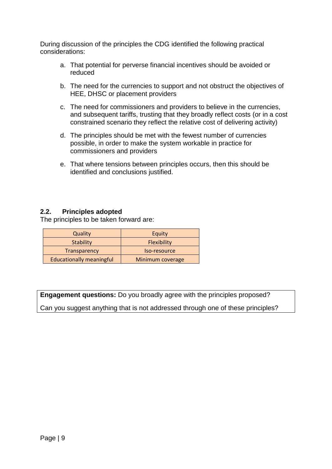During discussion of the principles the CDG identified the following practical considerations:

- a. That potential for perverse financial incentives should be avoided or reduced
- b. The need for the currencies to support and not obstruct the objectives of HEE, DHSC or placement providers
- c. The need for commissioners and providers to believe in the currencies, and subsequent tariffs, trusting that they broadly reflect costs (or in a cost constrained scenario they reflect the relative cost of delivering activity)
- d. The principles should be met with the fewest number of currencies possible, in order to make the system workable in practice for commissioners and providers
- e. That where tensions between principles occurs, then this should be identified and conclusions justified.

### <span id="page-8-0"></span>**2.2. Principles adopted**

The principles to be taken forward are:

| Quality                         | Equity             |
|---------------------------------|--------------------|
| <b>Stability</b>                | <b>Flexibility</b> |
| Transparency                    | Iso-resource       |
| <b>Educationally meaningful</b> | Minimum coverage   |

**Engagement questions:** Do you broadly agree with the principles proposed?

Can you suggest anything that is not addressed through one of these principles?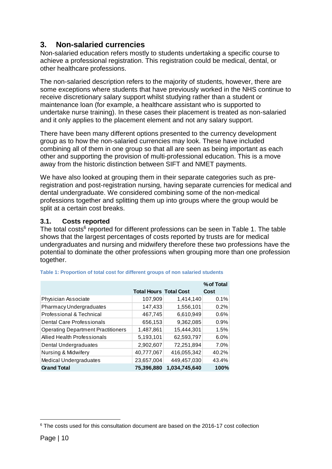# <span id="page-9-0"></span>**3. Non-salaried currencies**

Non-salaried education refers mostly to students undertaking a specific course to achieve a professional registration. This registration could be medical, dental, or other healthcare professions.

The non-salaried description refers to the majority of students, however, there are some exceptions where students that have previously worked in the NHS continue to receive discretionary salary support whilst studying rather than a student or maintenance loan (for example, a healthcare assistant who is supported to undertake nurse training). In these cases their placement is treated as non-salaried and it only applies to the placement element and not any salary support.

There have been many different options presented to the currency development group as to how the non-salaried currencies may look. These have included combining all of them in one group so that all are seen as being important as each other and supporting the provision of multi-professional education. This is a move away from the historic distinction between SIFT and NMET payments.

We have also looked at grouping them in their separate categories such as preregistration and post-registration nursing, having separate currencies for medical and dental undergraduate. We considered combining some of the non-medical professions together and splitting them up into groups where the group would be split at a certain cost breaks.

### <span id="page-9-1"></span>**3.1. Costs reported**

The total costs<sup>6</sup> reported for different professions can be seen in [Table 1.](#page-9-2) The table shows that the largest percentages of costs reported by trusts are for medical undergraduates and nursing and midwifery therefore these two professions have the potential to dominate the other professions when grouping more than one profession together.

|                                           |                               |               | % of Total |
|-------------------------------------------|-------------------------------|---------------|------------|
|                                           | <b>Total Hours Total Cost</b> |               | Cost       |
| Physician Associate                       | 107,909                       | 1,414,140     | 0.1%       |
| Pharmacy Undergraduates                   | 147,433                       | 1,556,101     | 0.2%       |
| Professional & Technical                  | 467,745                       | 6,610,949     | 0.6%       |
| Dental Care Professionals                 | 656,153                       | 9,362,085     | 0.9%       |
| <b>Operating Department Practitioners</b> | 1,487,861                     | 15,444,301    | 1.5%       |
| Allied Health Professionals               | 5,193,101                     | 62,593,797    | 6.0%       |
| Dental Undergraduates                     | 2,902,607                     | 72,251,894    | 7.0%       |
| Nursing & Midwifery                       | 40,777,067                    | 416,055,342   | 40.2%      |
| Medical Undergraduates                    | 23,657,004                    | 449,457,030   | 43.4%      |
| <b>Grand Total</b>                        | 75,396,880                    | 1,034,745,640 | 100%       |

<span id="page-9-2"></span>

|  | Table 1: Proportion of total cost for different groups of non salaried students |  |  |  |  |  |
|--|---------------------------------------------------------------------------------|--|--|--|--|--|
|  |                                                                                 |  |  |  |  |  |

<sup>1</sup> <sup>6</sup> The costs used for this consultation document are based on the 2016-17 cost collection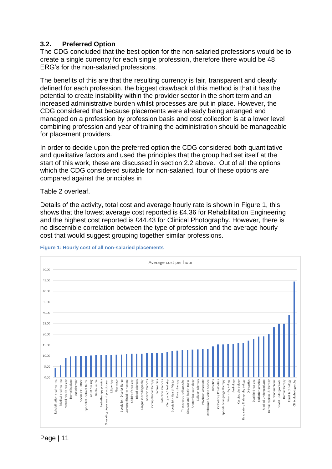### <span id="page-10-0"></span>**3.2. Preferred Option**

The CDG concluded that the best option for the non-salaried professions would be to create a single currency for each single profession, therefore there would be 48 ERG's for the non-salaried professions.

The benefits of this are that the resulting currency is fair, transparent and clearly defined for each profession, the biggest drawback of this method is that it has the potential to create instability within the provider sector in the short term and an increased administrative burden whilst processes are put in place. However, the CDG considered that because placements were already being arranged and managed on a profession by profession basis and cost collection is at a lower level combining profession and year of training the administration should be manageable for placement providers.

In order to decide upon the preferred option the CDG considered both quantitative and qualitative factors and used the principles that the group had set itself at the start of this work, these are discussed in section 2.2 above. Out of all the options which the CDG considered suitable for non-salaried, four of these options are compared against the principles in

[Table 2](#page-10-2) overleaf.

Details of the activity, total cost and average hourly rate is shown in [Figure 1,](#page-10-1) this shows that the lowest average cost reported is £4.36 for Rehabilitation Engineering and the highest cost reported is £44.43 for Clinical Photography. However, there is no discernible correlation between the type of profession and the average hourly cost that would suggest grouping together similar professions.



<span id="page-10-2"></span><span id="page-10-1"></span>**Figure 1: Hourly cost of all non-salaried placements**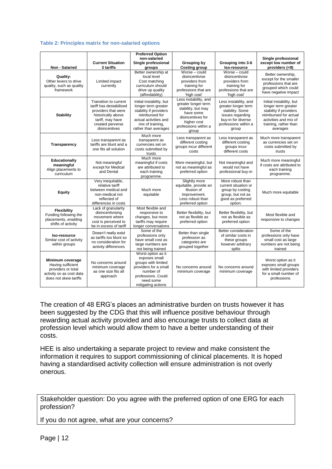#### <span id="page-11-0"></span>**Table 2: Principles matrix for non-salaried options**

|                                                                                                                  |                                                                                                                                                        | <b>Preferred Option</b>                                                                                                                                          |                                                                                                                                                      |                                                                                                                                            |                                                                                                                                                                  |
|------------------------------------------------------------------------------------------------------------------|--------------------------------------------------------------------------------------------------------------------------------------------------------|------------------------------------------------------------------------------------------------------------------------------------------------------------------|------------------------------------------------------------------------------------------------------------------------------------------------------|--------------------------------------------------------------------------------------------------------------------------------------------|------------------------------------------------------------------------------------------------------------------------------------------------------------------|
| Non - Salaried                                                                                                   | <b>Current Situation</b><br>3 tariffs                                                                                                                  | non-salaried<br>Single professional<br>groups                                                                                                                    | <b>Grouping by</b><br><b>Costing group</b>                                                                                                           | Grouping into 3-6<br>Iso-resource                                                                                                          | Single professional<br>except low number of<br>providers (<9)                                                                                                    |
| Quality:<br>Other levers to drive<br>quality, such as quality<br>framework                                       | Limited impact<br>currently                                                                                                                            | Better ownership at<br>local level<br>Cost matching<br>curriculum should<br>drive up quality<br>(affordability)                                                  | Worse - could<br>disincentivise<br>providers from<br>training for<br>professions that are<br>'high cost'                                             | Worse - could<br>disincentivise<br>providers from<br>training for<br>professions that are<br>'high cost'                                   | Better ownership,<br>except for the smaller<br>professions that are<br>grouped which could<br>have negative impact                                               |
| <b>Stability</b>                                                                                                 | Transition to current<br>tariff has destabilised<br>providers that were<br>historically above<br>tariff, may have<br>created perverse<br>disincentives | Initial instability, but<br>longer term greater<br>stability if providers<br>reimbursed for<br>actual activities and<br>mix of training,<br>rather than averages | Less instability, and<br>greater longer term<br>stability, but may<br>have some<br>disincentives for<br>higher cost<br>professions within a<br>group | Less instability, and<br>greater longer term<br>stability. Some<br>issues regarding<br>buy-in for diverse<br>professions within a<br>group | Initial instability, but<br>longer term greater<br>stability if providers<br>reimbursed for actual<br>activities and mix of<br>training, rather than<br>averages |
| Transparency                                                                                                     | Less transparent as<br>tariffs are blunt and a<br>one fits all solution                                                                                | Much more<br>transparent as<br>currencies set on<br>costs submitted by<br>trusts                                                                                 | Less transparent as<br>different costing<br>groups incur different<br>costs                                                                          | Less transparent as<br>different costing<br>groups incur<br>different costs                                                                | Much more transparent<br>as currencies set on<br>costs submitted by<br>trusts                                                                                    |
| Educationally<br>meaningful<br>Align placements to<br>curriculum                                                 | Not meaningful<br>except for Medical<br>and Dental                                                                                                     | Much more<br>meaningful if costs<br>are attributed to<br>each training<br>programme.                                                                             | More meaningful, but<br>not as meaningful as<br>preferred option                                                                                     | Not meaningful and<br>would not have<br>professional buy-in                                                                                | Much more meaningful<br>if costs are attributed to<br>each training<br>programme.                                                                                |
| Equity                                                                                                           | Very inequitable,<br>relative tariff<br>between medical and<br>non-medical not<br>reflected of<br>differences in costs                                 | Much more<br>equitable                                                                                                                                           | Slightly more<br>equitable, provide an<br>illusion of<br>improvement.<br>Less robust than<br>preferred option                                        | More robust than<br>current situation or<br>group by costing<br>group, but not as<br>good as preferred<br>option.                          | Much more equitable                                                                                                                                              |
| Flexibility<br>Funding following the<br>placements, enabling<br>shifts of activity                               | Lack of granularity<br>disincentivising<br>movement where<br>cost is perceived to<br>be in excess of tariff                                            | Most flexible and<br>responsive to<br>changes, but more<br>tariffs may require<br>longer conversations                                                           | Better flexibility, but<br>not as flexible as<br>preferred option                                                                                    | Better flexibility, but<br>not as flexible as<br>preferred option                                                                          | Most flexible and<br>responsive to changes                                                                                                                       |
| Iso-resource<br>Similar cost of activity<br>within groups                                                        | Doesn't really exist<br>as tariffs too blunt so<br>no consideration for<br>activity differences                                                        | Some of the<br>professions only<br>have small cost as<br>large numbers are<br>not being trained                                                                  | Better than single<br>profession as<br>categories are<br>grouped together                                                                            | Better consideration<br>of similar costs in<br>these groups<br>however arbitrary<br>splits                                                 | Some of the<br>professions only have<br>small cost as large<br>numbers are not being<br>trained                                                                  |
| Minimum coverage<br>Having sufficient<br>providers or total<br>activity so as cost data<br>does not skew tariffs | No concerns around<br>minimum coverage<br>as one size fits all<br>approach                                                                             | Worst option as it<br>exposes small<br>groups with limited<br>providers for a small<br>number of<br>professions, Could<br>need some<br>mitigating actions        | No concerns around<br>minimum coverage                                                                                                               | No concerns around<br>minimum coverage                                                                                                     | Worst option as it<br>exposes small groups<br>with limited providers<br>for a small number of<br>professions                                                     |

The creation of 48 ERG's places an administrative burden on trusts however it has been suggested by the CDG that this will influence positive behaviour through rewarding actual activity provided and also encourage trusts to collect data at profession level which would allow them to have a better understanding of their costs.

HEE is also undertaking a separate project to review and make consistent the information it requires to support commissioning of clinical placements. It is hoped having a standardised activity collection will ensure administration is not overly onerous.

Stakeholder question: Do you agree with the preferred option of one ERG for each profession?

If you do not agree, what are your concerns?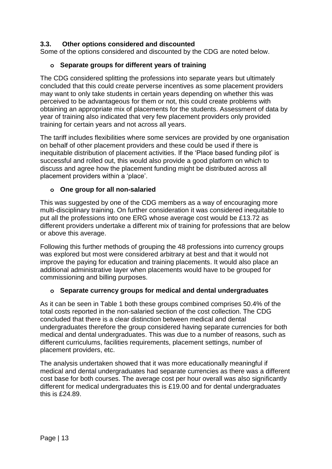### <span id="page-12-0"></span>**3.3. Other options considered and discounted**

Some of the options considered and discounted by the CDG are noted below.

### **o Separate groups for different years of training**

The CDG considered splitting the professions into separate years but ultimately concluded that this could create perverse incentives as some placement providers may want to only take students in certain years depending on whether this was perceived to be advantageous for them or not, this could create problems with obtaining an appropriate mix of placements for the students. Assessment of data by year of training also indicated that very few placement providers only provided training for certain years and not across all years.

The tariff includes flexibilities where some services are provided by one organisation on behalf of other placement providers and these could be used if there is inequitable distribution of placement activities. If the 'Place based funding pilot' is successful and rolled out, this would also provide a good platform on which to discuss and agree how the placement funding might be distributed across all placement providers within a 'place'.

### **o One group for all non-salaried**

This was suggested by one of the CDG members as a way of encouraging more multi-disciplinary training. On further consideration it was considered inequitable to put all the professions into one ERG whose average cost would be £13.72 as different providers undertake a different mix of training for professions that are below or above this average.

Following this further methods of grouping the 48 professions into currency groups was explored but most were considered arbitrary at best and that it would not improve the paying for education and training placements. It would also place an additional administrative layer when placements would have to be grouped for commissioning and billing purposes.

### **o Separate currency groups for medical and dental undergraduates**

As it can be seen in [Table 1](#page-9-2) both these groups combined comprises 50.4% of the total costs reported in the non-salaried section of the cost collection. The CDG concluded that there is a clear distinction between medical and dental undergraduates therefore the group considered having separate currencies for both medical and dental undergraduates. This was due to a number of reasons, such as different curriculums, facilities requirements, placement settings, number of placement providers, etc.

The analysis undertaken showed that it was more educationally meaningful if medical and dental undergraduates had separate currencies as there was a different cost base for both courses. The average cost per hour overall was also significantly different for medical undergraduates this is £19.00 and for dental undergraduates this is £24.89.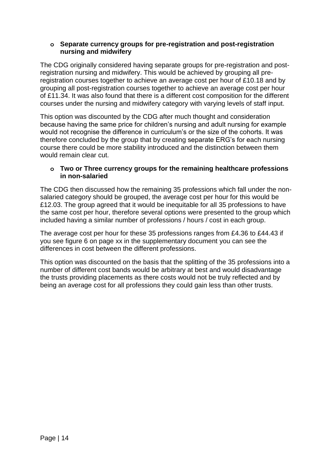### **o Separate currency groups for pre-registration and post-registration nursing and midwifery**

The CDG originally considered having separate groups for pre-registration and postregistration nursing and midwifery. This would be achieved by grouping all preregistration courses together to achieve an average cost per hour of £10.18 and by grouping all post-registration courses together to achieve an average cost per hour of £11.34. It was also found that there is a different cost composition for the different courses under the nursing and midwifery category with varying levels of staff input.

This option was discounted by the CDG after much thought and consideration because having the same price for children's nursing and adult nursing for example would not recognise the difference in curriculum's or the size of the cohorts. It was therefore concluded by the group that by creating separate ERG's for each nursing course there could be more stability introduced and the distinction between them would remain clear cut.

### **o Two or Three currency groups for the remaining healthcare professions in non-salaried**

The CDG then discussed how the remaining 35 professions which fall under the nonsalaried category should be grouped, the average cost per hour for this would be £12.03. The group agreed that it would be inequitable for all 35 professions to have the same cost per hour, therefore several options were presented to the group which included having a similar number of professions / hours / cost in each group.

The average cost per hour for these 35 professions ranges from £4.36 to £44.43 if you see figure 6 on page xx in the supplementary document you can see the differences in cost between the different professions.

This option was discounted on the basis that the splitting of the 35 professions into a number of different cost bands would be arbitrary at best and would disadvantage the trusts providing placements as there costs would not be truly reflected and by being an average cost for all professions they could gain less than other trusts.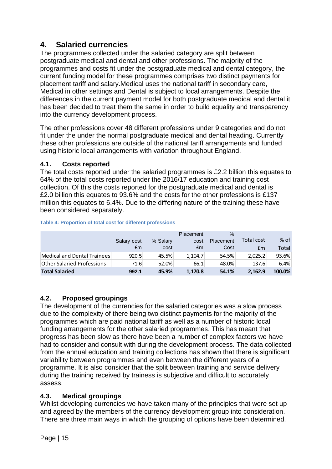# <span id="page-14-0"></span>**4. Salaried currencies**

The programmes collected under the salaried category are split between postgraduate medical and dental and other professions. The majority of the programmes and costs fit under the postgraduate medical and dental category, the current funding model for these programmes comprises two distinct payments for placement tariff and salary.Medical uses the national tariff in secondary care, Medical in other settings and Dental is subject to local arrangements. Despite the differences in the current payment model for both postgraduate medical and dental it has been decided to treat them the same in order to build equality and transparency into the currency development process.

The other professions cover 48 different professions under 9 categories and do not fit under the under the normal postgraduate medical and dental heading. Currently these other professions are outside of the national tariff arrangements and funded using historic local arrangements with variation throughout England.

### <span id="page-14-1"></span>**4.1. Costs reported**

The total costs reported under the salaried programmes is £2.2 billion this equates to 64% of the total costs reported under the 2016/17 education and training cost collection. Of this the costs reported for the postgraduate medical and dental is £2.0 billion this equates to 93.6% and the costs for the other professions is £137 million this equates to 6.4%. Due to the differing nature of the training these have been considered separately.

|                                   |             |          | Placement | $\frac{0}{0}$ |                   |        |
|-----------------------------------|-------------|----------|-----------|---------------|-------------------|--------|
|                                   | Salary cost | % Salary | cost      | Placement     | <b>Total cost</b> | $%$ of |
|                                   | £m          | cost     | £m        | Cost          | £m                | Total  |
| Medical and Dental Trainees       | 920.5       | 45.5%    | 1.104.7   | 54.5%         | 2,025.2           | 93.6%  |
| <b>Other Salaried Professions</b> | 71.6        | 52.0%    | 66.1      | 48.0%         | 137.6             | 6.4%   |
| <b>Total Salaried</b>             | 992.1       | 45.9%    | 1.170.8   | 54.1%         | 2.162.9           | 100.0% |

#### **Table 4: Proportion of total cost for different professions**

### <span id="page-14-2"></span>**4.2. Proposed groupings**

The development of the currencies for the salaried categories was a slow process due to the complexity of there being two distinct payments for the majority of the programmes which are paid national tariff as well as a number of historic local funding arrangements for the other salaried programmes. This has meant that progress has been slow as there have been a number of complex factors we have had to consider and consult with during the development process. The data collected from the annual education and training collections has shown that there is significant variability between programmes and even between the different years of a programme. It is also consider that the split between training and service delivery during the training received by trainess is subjective and difficult to accurately assess.

### <span id="page-14-3"></span>**4.3. Medical groupings**

Whilst developing currencies we have taken many of the principles that were set up and agreed by the members of the currency development group into consideration. There are three main ways in which the grouping of options have been determined.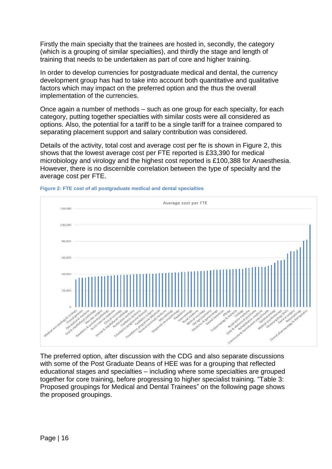Firstly the main specialty that the trainees are hosted in, secondly, the category (which is a grouping of similar specialties), and thirdly the stage and length of training that needs to be undertaken as part of core and higher training.

In order to develop currencies for postgraduate medical and dental, the currency development group has had to take into account both quantitative and qualitative factors which may impact on the preferred option and the thus the overall implementation of the currencies.

Once again a number of methods – such as one group for each specialty, for each category, putting together specialties with similar costs were all considered as options. Also, the potential for a tariff to be a single tariff for a trainee compared to separating placement support and salary contribution was considered.

Details of the activity, total cost and average cost per fte is shown in [Figure 2,](#page-15-0) this shows that the lowest average cost per FTE reported is £33,390 for medical microbiology and virology and the highest cost reported is £100,388 for Anaesthesia. However, there is no discernible correlation between the type of specialty and the average cost per FTE.



<span id="page-15-0"></span>**Figure 2: FTE cost of all postgraduate medical and dental specialties**

The preferred option, after discussion with the CDG and also separate discussions with some of the Post Graduate Deans of HEE was for a grouping that reflected educational stages and specialties – including where some specialties are grouped together for core training, before progressing to higher specialist training. ["Table 3:](#page-16-0)  [Proposed groupings for Medical and Dental Trainees"](#page-16-0) on the following page shows the proposed groupings.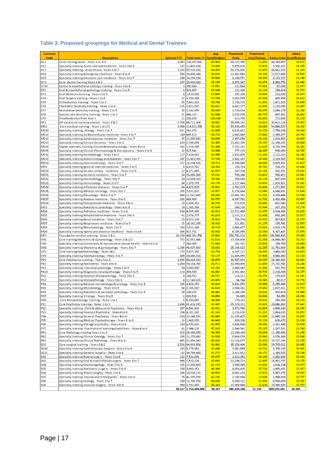#### <span id="page-16-0"></span>**Table 3: Proposed groupings for Medical and Dental Trainees**

| <b>Currency</b>                    |                                                                                                                                        |                     |                                   | Avg                          | Placement                | Placement           |                          | <b>Salary</b>             |
|------------------------------------|----------------------------------------------------------------------------------------------------------------------------------------|---------------------|-----------------------------------|------------------------------|--------------------------|---------------------|--------------------------|---------------------------|
| Code                               | <b>Description</b>                                                                                                                     | <b>Salaried FTE</b> |                                   | Total costs '£' Cost/Student | <b>Costs</b>             | <b>Cost/Trainee</b> |                          | Salary Costs Cost/Trainee |
| AC1                                | Core training acute - Years 1 to 2/3                                                                                                   | 3,083               | 126,307,643                       | 40,969                       | 66,137,785               | 21,453              | 60, 169, 857             | 19,517                    |
| AC <sub>2</sub>                    | Specialty training Acute internal medicine - Years 3 to 6                                                                              |                     | 337 11,402,838                    | 33,830                       | 5,876,616                | 17,435              | 5,526,222                | 16,395                    |
| AC3<br>AC4                         | Specialty training, Anaesthesia-Years 3 to 7<br>Specialty training Emergency medicine - Years 4 to 6                                   | 2,203               | 97,039,168<br>588 23,400,344      | 44,053<br>39,815             | 50,376,965<br>11,882,654 | 22,870<br>20,218    | 46,662,203<br>11,517,689 | 21,183<br>19,597          |
| AC5                                | Specialty training Intensive care medicine - Years 3 to 7                                                                              | 288                 | 14,294,194                        | 49,569                       | 8,160,971                | 28,300              | 6, 133, 222              | 21,268                    |
| DF1                                | Core dental training Years 1 & 2                                                                                                       | 237                 | 15.436.163                        | 65,135                       | 9,875,387                | 41,671              | 5,560,776                | 23,465                    |
| DT10                               | Dental & maxillofacial radiolgy training - Years 2 to 4                                                                                |                     | 3 290,884                         | 72,851                       | 232,564                  | 77,911              | 67,095                   | 22,477                    |
| DT <sub>2</sub>                    | Oral & maxillofacial pathology training - Years 3 to 5                                                                                 | 4                   | 520,807                           | 67,938                       | 132,260                  | 33,124              | 158,624                  | 39,727                    |
| DT3                                | Oral Medicine training - Years 2 to 5                                                                                                  | 8                   | 1,519,018                         | 67,845                       | 287,208                  | 37,465              | 233,599                  | 30,472                    |
| DT4<br>DT5                         | Oral Surgery training - Years 1 to 4<br>Orthodontics training - Years 1 to 3                                                           | 22                  | 3,150,244<br>55 7,661,161         | 57,709<br>56,786             | 1,053,059<br>1,738,719   | 47,034<br>31,851    | 465,958<br>1,411,525     | 20,812<br>25,858          |
| DT6                                | Paediatric Dentistry training - Years 1 to 4                                                                                           |                     | 135 2,821,092                     | 80,661                       | 4,441,177                | 32,919              | 3,219,985                | 23,867                    |
| DT7                                | Restorative dentistry training - Years 1 to 5                                                                                          | 35                  | 2,142,979                         | 69,659                       | 1,726,914                | 49,376              | 1,094,178                | 31,285                    |
| DT8                                | Special care dentistry training - Years 1 to 3                                                                                         | 31                  | 886,237                           | 82,084                       | 1,255,078                | 40,797              | 887,901                  | 28,862                    |
| DT9                                | Prosthodontics from Year 1                                                                                                             | 11                  | 299,658                           | 100,388                      | 613,799                  | 56,851              | 272,438                  | 25,234                    |
| GP1                                | GP vacational training scheme - Years 1 & 2                                                                                            | 1,798               | 65,711,306                        | 36,551                       | 35,099,192               | 19,523              | 30, 612, 114             | 17,027                    |
| MD1<br>MD10                        | Core medical training - Years 1 to 2/3                                                                                                 | 2,988<br>421        | 114,022,988<br>262,975            | 38,163                       | 59,936,459<br>8,535,602  | 20,060              | 54,086,529<br>7,758,924  | 18,102                    |
| MD11                               | Specialty training, Allergy - Years 3 to 7<br>Specialty training Audiovestibular medicine -Years 3 to 7                                | 140                 | 697,513                           | 42,600<br>36,723             | 2,463,885                | 20,279<br>17,562    | 2,355,877                | 18,434<br>16,792          |
| MD12                               | Specialty training Cardiovascular medicine - Years 3 to 7                                                                              | 97                  | 21,655,843                        | 40,590                       | 2,457,056                | 25,236              | 1,814,592                | 18,637                    |
| MD13                               | Specialty training Clinical Genetics - Years 3 to 6                                                                                    |                     | 620 2,190,654                     | 53,385                       | 11,882,199               | 19,167              | 11, 198, 181             | 18,064                    |
| MD14                               | Higher specialty training Clinical Nuerophysiology - Years 4 to 6                                                                      |                     | 342 1,326,189                     | 52,300                       | 7,332,161                | 21,425              | 6,276,768                | 18,341                    |
| <b>MD15</b>                        | Specialty training Clinical Pharmacology & therapeutics - Years 3 to 6                                                                 |                     | 32 517,541                        | 33,995                       | 777,119                  | 24,387              | 598,659                  | 18,787                    |
| MD16                               | Specialty training Dermatology - Years 3 to 6                                                                                          |                     | 117 7,424,653                     | 43,990                       | 2,493,809                | 21,295              | 2, 132, 016              | 18,206                    |
| <b>MD17</b><br>MD19                | Specialty training Endocrinology and diabetes - Years 3 to 7<br>Specialty training Gastroenterolgy - Years 3 to 7                      | 207                 | 11,463,391<br>272 16,294,526      | 37,745<br>38,713             | 3,802,247<br>6,706,645   | 18,369<br>24,615    | 3,229,565<br>5,835,351   | 15,602<br>21,417          |
| MD <sub>2</sub>                    | Specialty training general internal medicine - Years 3 to 5                                                                            | 6                   | 4,819,762                         | 34,354                       | 158,724                  | 25,712              | 104,251                  | 16,888                    |
| <b>MD20</b>                        | Specialty training Genito urinary - medicine - Years 3 to 6                                                                            | 12                  | 4,271,647                         | 43,873                       | 367,108                  | 31,111              | 302,391                  | 25,626                    |
| MD21                               | Specialty training Geriatric medicine - Years 3 to 7                                                                                   |                     | 34 23,080,380                     | 37,231                       | 798,340                  | 23,823              | 700,421                  | 20,901                    |
| <b>MD22</b>                        | Specialty training Haematology - Years 3 to 7                                                                                          |                     | 30 13,608,929                     | 39,766                       | 788,069                  | 26,128              | 497,699                  | 16,501                    |
| MD23                               | Specialty training Immunology - Years 3 to 7                                                                                           | 94                  | 1,375,778                         | 43,174                       | 2,217,464                | 23,633              | 1,818,501                | 19,381                    |
| MD24<br><b>MD25</b>                | Specialty training Infectious diseases - Years 3 to 7<br>Specialty training Medical oncology - Years 3 to 7                            | 64<br>255           | 4,625,825<br>7,031,813            | 39,501<br>33,971             | 1,703,225<br>5,376,644   | 26,806<br>21,089    | 1,271,552<br>4,546,691   | 20,012<br>17,834          |
| MD26                               | Specialty training Neurology - Years 3 to 7                                                                                            | 469                 | 12,541,997                        | 46,032                       | 10,002,741               | 21,312              | 8,259,444                | 17,598                    |
| <b>MD27</b>                        | Specialty training Nuclear medicine - Years 3 to 5                                                                                     | 202                 | 669,499                           | 56,737                       | 4,387,782                | 21,722              | 3,433,386                | 16,997                    |
| <b>MD28</b>                        | Specialty training Occupational medicine - Years 3 to 6                                                                                |                     | 18 1,498,761                      | 44,724                       | 515,839                  | 28,060              | 401,943                  | 21,864                    |
| MD3                                | Specialty training Paediatric cardiology - Years 4 to 8                                                                                | 19                  | 1,285,768                         | 42,629                       | 390,220                  | 20,544              | 307,293                  | 16,178                    |
| MD4                                | Specialty training Palliative medicine - Years 3 to 6                                                                                  | 534                 | 4,035,965                         | 43,013                       | 11,721,458               | 21,970              | 9,934,386                | 18,620                    |
| MD5<br>MD <sub>6</sub>             | Specialty training Rehabilitation medicine - Years 3 to 6<br>Specialty training Renal medicine - Years 3 to 7                          | 41                  | 2,974,777<br>25 9,923,335         | 46,818<br>38,923             | 1,332,313<br>758,774     | 32,468<br>29,923    | 858,342<br>567,415       | 20,917<br>22,377          |
| MD7                                | Specialty training Respiratory medicine - Years 3 to 7                                                                                 | 15 <sup>1</sup>     | 18,262,185                        | 38,910                       | 321,801                  | 21,137              | 195,741                  | 12,857                    |
| MD8                                | Specialty training Rheumatology - Years 3 to 7                                                                                         | 169                 | 7,821,168                         | 38,718                       | 3,885,477                | 23,021              | 3,539,176                | 20,969                    |
| MD9                                | Specialty training Sports and exercise medicine - Years 3 to 6                                                                         | 304                 | 917,782                           | 49,924                       | 6,155,955                | 20,269              | 5,307,437                | 17,475                    |
| MF1                                | Foundation medical training - Years 1 & 2                                                                                              | 12,256              | 460,351,756                       | 37,562                       | 250,783,323              | 20,462              | 209,568,433              | 17,099                    |
| OB1                                | Core training Obstetrics & Gynaecology - Years 1 & 2/3                                                                                 | 772                 | 32,052,486                        | 41,516                       | 17,204,436               | 22,284              | 14,848,050               | 19,232                    |
| OB <sub>2</sub><br>OB <sub>3</sub> | Specialty training Community & reproductive sexual health - Years 4 to 6<br>Specialty training Obstetrics & gyneacology - Years 3 to 7 | 7<br>1,185          | 340,089<br>46,937,693             | 51,560<br>39,601             | 181,331<br>25,145,023    | 27,491<br>21,215    | 158,758<br>21,792,669    | 24,069<br>18,386          |
| OP1                                | Core training Ophthalmology - Years 1&2                                                                                                |                     | 179 7,827,150                     | 43,754                       | 4,347,111                | 24,300              | 3,480,039                | 19,453                    |
| OP <sub>2</sub>                    | Specialty training Ophthalmology - Years 3 to 7                                                                                        | 409                 | 20,486,314                        | 50,127                       | 11,405,955               | 27,908              | 9,080,360                | 22,218                    |
| PD1                                | Core Paediatrics training - Years 1 to 3                                                                                               | 1,509               | 58,668,933                        | 38,878                       | 30,507,941               | 20,217              | 28, 160, 992             | 18,661                    |
| PD <sub>2</sub>                    | Specialty training Paediatrics - Years 4 to 8                                                                                          | 1,490               | 59,184,056                        | 39,711                       | 31,990,499               | 21,465              | 27, 193, 556             | 18,246                    |
| PG1                                | Specialty training Chemical pathology - Years 3 to 5                                                                                   | 50                  | 2,080,800                         | 41,282                       | 1,088,047                | 21,586              | 992,753                  | 19,696                    |
| <b>PG10</b><br>PG <sub>2</sub>     | Specialty training Diagnostic neuropathology - Years 3 to 5                                                                            |                     | 114 393,938                       | 46,452                       | 2,941,442                | 25,729              | 2,318,208                | 20,277                    |
| PG3                                | Specialty training Forensic Histopathology - Years 3 to 5<br>Specialty training Histopathology - Years 3 to 6                          | 8                   | 164,761<br>4 12,148,828           | 40,721<br>45,805             | 214,311<br>84,744        | 25,271<br>20,945    | 179,627<br>80,017        | 21,181<br>19,776          |
| PG4                                | Specialty training Medical microbiology & virology - Years 3 to 5                                                                      | 265                 | 4.626.173                         | 49,424                       | 6,892,879                | 25,988              | 5,255,949                | 19,817                    |
| PG5                                | Specialty training Microbiology - Years 3 to 5                                                                                         | 94                  | 2,109,067                         | 36,620                       | 2,588,262                | 27,652              | 2,037,911                | 21,772                    |
| PG6                                | Specialty training Paediatric & perinatal pathology - Years 3 to 5                                                                     |                     | 58 109,035                        | 48,942                       | 1,188,249                | 20,632              | 920,818                  | 15,988                    |
| PG7                                | Specialty training Virology - Years 3 to 5                                                                                             |                     | 2 320,536                         | 38,850                       | 54,685                   | 24,546              | 54,350                   | 24,396                    |
| PG8                                | Core Histopathology training - Years 1 to 2                                                                                            |                     | 8 5,259,651                       | 46,006                       | 170,142                  | 20,622              | 150,393                  | 18,228                    |
| PS1<br>PS <sub>2</sub>             | Core Psychiatry training - Years 1 to 3<br>Specallty training Child & adolescent Psychiatry - Years 4 to 6                             |                     | 1,496 61,416,293<br>157 6,581,901 | 41,062<br>42,011             | 35,329,331<br>3,572,760  | 23,621<br>22,804    | 26,086,962<br>3,009,142  | 17,441<br>19,207          |
| PS3                                | Specialty training Forensic Psychiatry - Years 4 to 6                                                                                  |                     | 104 4,281,242                     | 41,163                       | 2,216,610                | 21,312              | 2,064,632                | 19,851                    |
| PS4                                | Specialty training General Psychiatry - Years 4 to 6                                                                                   |                     | 530 23,240,591                    | 43,840                       | 12,195,425               | 23,005              | 11,045,166               | 20,835                    |
| PS5                                | Specialty training Medical Psychotherapy - Years 4 to 6                                                                                |                     | 33 1,468,976                      | 44,460                       | 830,306                  | 25,130              | 638,670                  | 19,330                    |
| PS6                                | Specialty training Old age psychiatry - Years 4 to 6                                                                                   | 159                 | 6,970,432                         | 43,950                       | 3,808,884                | 24,016              | 3, 161, 548              | 19,934                    |
| PS7                                | Specialty training Psychiatry of learning disabilities - Years 4 to 6                                                                  | 61                  | 2,944,132                         | 47,910                       | 1,546,541                | 25,167              | 1,397,591                | 22,743                    |
| RD1                                | Core Radiology training Years 1 to 3                                                                                                   | 526                 | 24,386,070                        | 46,359                       | 13,200,164<br>5,694,074  | 25,094              | 11, 185, 906             | 21,265<br>19,548          |
| RD <sub>2</sub><br>RD3             | Specialty training Clinical Oncolgy - Years 3 to 7<br>Specialty training Clinical Radiology - Years 4 to 6                             |                     | 285 11,270,442<br>485 21,856,043  | 39,508<br>45,033             | 11,128,877               | 19,960<br>22,931    | 5,576,368<br>10,727,166  | 22,103                    |
| SG1                                | Core surgical training - Years 1 & 2                                                                                                   |                     | 1,528 64,893,508                  | 42,481                       | 35,158,496               | 23,016              | 29,735,012               | 19,465                    |
| <b>SG10</b>                        | Specialty training Cardiothoracic Surgery - Years 3 to 8                                                                               |                     | 287 5,775,962                     | 47,484                       | 7,081,568                | 24,702              | 5,705,190                | 19,901                    |
| SG11                               | Specialty training General Surgery - Years 3 to 8                                                                                      | 62                  | 39,789,460                        | 41,272                       | 1,611,922                | 26,172              | 1,180,525                | 19,168                    |
| SG <sub>2</sub>                    | Specialty training Nuerosurgery - Years 3 to 8                                                                                         | 122                 | 7,531,099                         | 45,670                       | 3,423,352                | 28,143              | 2,352,609                | 19,341                    |
| SG <sub>3</sub>                    | Specialty training Oral & maxillofacial surgery - Years 3 to 7                                                                         | 964                 | 7,510,126                         | 47,653                       | 21,206,723               | 21,997              | 18,582,737               | 19,275                    |
| SG4<br>SG5                         | Specilaty training Otolaryngology - Years 3 to 8                                                                                       | 165                 | 12,868,499                        | 42,120                       | 3,906,945                | 23,692              | 3,624,154                | 21,977                    |
| SG6                                | Specialty training Paediatric surgery - Years 3 to 8<br>Specialty training Plastic surgery -Years 3 to 8                               | 306                 | 158 3,690,353<br>10,538,131       | 48,384<br>40,552             | 4,054,435<br>6,881,224   | 25,726<br>22,523    | 3,455,691<br>5,987,275   | 21,927<br>19,597          |
| SG7                                | Specialty training Trauma and Orthopaedic - Years 3 to 8                                                                               |                     | 76 41,355,698                     | 42,192                       | 2,105,684                | 27,608              | 1,584,668                | 20,777                    |
| SG8                                | Specialty training Urology - Years 3 to 7                                                                                              | 260                 | 12,786,758                        | 44,603                       | 5,548,122                | 21,350              | 4,990,009                | 19,202                    |
| SG9                                | Specialty training Vascular surgery - Years 3 to 8                                                                                     |                     | 980 2,792,447                     | 45,340                       | 21,989,860               | 22,434              | 19, 365, 839             | 19,757                    |
|                                    |                                                                                                                                        |                     | 43,517 1,754,494,806              | 40,317                       | 945,439,146              | 21,726              | 809,055,661              | 18,592                    |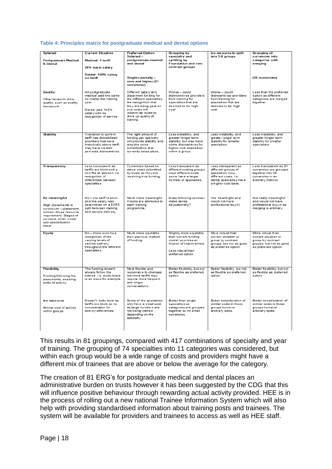#### **Table 4: Principles matrix for postgraduate medical and dental options**

| Salaried<br>Postgraduate Medical<br>& Dental                                                                                                                                | <b>Current Situation</b><br><b>Preferred Option</b><br>Salaried -<br>postgraduate medical<br><b>Medical: 1 tariff</b><br>and dental<br>50% bas ic salary |                                                                                                                                                                                                                | Grouping by<br>speciality and<br>splitting by<br>Foundation and new<br>contract groups                                                          | Iso resource to split<br>into 3-6 groups                                                                                                   | Grouping of<br>currencies into<br>categories with<br>merging                                                  |
|-----------------------------------------------------------------------------------------------------------------------------------------------------------------------------|----------------------------------------------------------------------------------------------------------------------------------------------------------|----------------------------------------------------------------------------------------------------------------------------------------------------------------------------------------------------------------|-------------------------------------------------------------------------------------------------------------------------------------------------|--------------------------------------------------------------------------------------------------------------------------------------------|---------------------------------------------------------------------------------------------------------------|
|                                                                                                                                                                             | Dental: 100% salary,<br>no tariff                                                                                                                        | Single $s$ pecialty $-$<br>core and higher (81<br>currencies)                                                                                                                                                  |                                                                                                                                                 |                                                                                                                                            | (26 currencies)                                                                                               |
| Quality:<br>Other levers to drive<br>quality, such as quality<br>framework                                                                                                  | All postgraduate<br>medical paid the same<br>no matter the training<br>vear.<br>Dental paid 100%<br>salary with no<br>recognition of service.            | Different salary and<br>place ment funding for<br>the different specialties,<br>the recognition that<br>they are being paid on<br>true costs will<br>incentivise trusts to<br>drive up quality of<br>training. | Worse - could<br>disincentivise providers<br>from training for<br>specialties that are<br>deemed to be 'high<br>cosť                            | Worse - could<br>disincentivise providers<br>from training for<br>specialties that are<br>deemed to be 'high<br>cost'                      | Less than the preferred<br>option as different<br>categories are merged<br>together.                          |
|                                                                                                                                                                             |                                                                                                                                                          |                                                                                                                                                                                                                |                                                                                                                                                 |                                                                                                                                            |                                                                                                               |
| <b>Stability</b>                                                                                                                                                            | Transition to current<br>bezilidetzeb zed finet<br>providers that were<br>historically above tariff,<br>may have created<br>perverse disincentives.      | The right amount of<br>funding per specialty<br>will provide stability and<br>stop the cross<br>subsidisation that<br>currently takes place.                                                                   | Less instability, and<br>greater longer term<br>stability, but may have<br>some disincentives for<br>higher cost specialties<br>within a group. | Less instability, and<br>greater longer term<br>stability for smaller<br>specialties.                                                      | Less in stability, and<br>greater longer term<br>stability for smaller<br>specialties.                        |
| Transparency                                                                                                                                                                | Less transparent as<br>tariffs are blunt and a<br>one fits all solution, no<br>recognition of<br>differences between<br>specialties                      | Currencies based on<br>actual costs submitted<br>by trusts so they are<br>receiving true funding.                                                                                                              | Less transparent as<br>different costing groups<br>incur different costs<br>some have a larger<br>number of specialties.                        | Less transparent as<br>different groups of<br>specialties incur<br>different costs, i.e.<br>dental specialties have<br>a higher cost base. | Less transparent as 81<br>currencies are grouped<br>together into 26<br>currencies in an<br>arbitrary manner. |
| Ed meaningful<br>Align placements to<br>curriculum - placement<br>content drives resource<br>requirement. Stages of<br>curricula, when would<br>sub-specialisation<br>occur | No - the tariff is blunt<br>and the salary was<br>determined on a 50/50<br>split between training<br>and service delivery.                               | Much more meaningful<br>if costs are attributed to<br>each training<br>programme.                                                                                                                              | Does following contract<br>make sense<br>educationally?                                                                                         | Not meaningful and<br>would not have<br>professional buy-in.                                                                               | Not really meaningful<br>and would not have<br>professional buy-in as<br>merging is arbitrary.                |
| Equity                                                                                                                                                                      | No - there is no true<br>recognition of the                                                                                                              | Much more equitable<br>than previous method                                                                                                                                                                    | Slightly more equitable<br>than current funding                                                                                                 | More robust than<br>current situation or                                                                                                   | More robust than<br>current situation or                                                                      |
|                                                                                                                                                                             | varying levels of<br>service delivery<br>throughout the different<br>specialties.                                                                        | of funding.                                                                                                                                                                                                    | model, provides an<br>illusion of improvement.<br>Less robust than<br>preferred option.                                                         | group by contract<br>groups, but not as good<br>as preferred option.                                                                       | group by contract<br>groups, but not as good<br>as preferred option.                                          |
| Flexibility<br>Funding following the<br>place ments, enabling<br>shifts of activity                                                                                         | The funding doesn't<br>always follow the<br>trainee, i.e. study leave<br>is an issue for example.                                                        | Most flexible and<br>responsive to changes,<br>but more tariffs may<br>require more frequent<br>and longer<br>conversations.                                                                                   | Better flexibility, but not<br>as flexible as preferred<br>option.                                                                              | Better flexibility, but not<br>as flexible as preferred<br>option.                                                                         | Better flexibility, but not<br>as flexible as preferred<br>option.                                            |
| Iso-resource<br>Similar cost of activity<br>within groups                                                                                                                   | Doesn't really exist as<br>tariffs too blunt so no<br>consideration for<br>activity differences.                                                         | Some of the specialties<br>only have a small cost<br>as large numbers are<br>not being trained<br>depending on the<br>specialty.                                                                               | Better than single<br>specialties as<br>categories are grouped<br>together so no small<br>currencies.                                           | Better consideration of<br>similar costs in these<br>groups however<br>arbitrary splits.                                                   | Better consideration of<br>similar costs in these<br>groups however<br>arbitrary splits.                      |
|                                                                                                                                                                             |                                                                                                                                                          |                                                                                                                                                                                                                |                                                                                                                                                 |                                                                                                                                            |                                                                                                               |

This results in 81 groupings, compared with 417 combinations of specialty and year of training. The grouping of 74 specialties into 11 categories was considered, but within each group would be a wide range of costs and providers might have a different mix of trainees that are above or below the average for the category.

The creation of 81 ERG's for postgraduate medical and dental places an administrative burden on trusts however it has been suggested by the CDG that this will influence positive behaviour through rewarding actual activity provided. HEE is in the process of rolling out a new national Trainee Information System which will also help with providing standardised information about training posts and trainees. The system will be available for providers and trainees to access as well as HEE staff.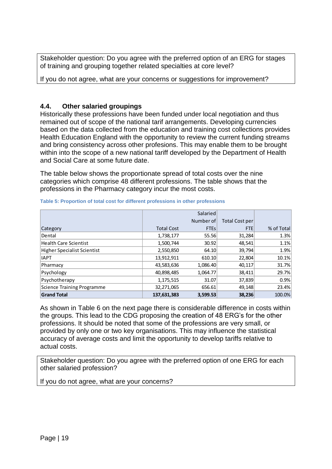Stakeholder question: Do you agree with the preferred option of an ERG for stages of training and grouping together related specialties at core level?

If you do not agree, what are your concerns or suggestions for improvement?

### <span id="page-18-0"></span>**4.4. Other salaried groupings**

Historically these professions have been funded under local negotiation and thus remained out of scope of the national tarif arrangements. Developing currencies based on the data collected from the education and training cost collections provides Health Education England with the opportunity to review the current funding streams and bring consistency across other profesions. This may enable them to be brought within into the scope of a new national tariff developed by the Department of Health and Social Care at some future date.

The table below shows the proportionate spread of total costs over the nine categories which comprise 48 different professions. The table shows that the professions in the Pharmacy category incur the most costs.

|                                    |                   | Salaried    |                |            |
|------------------------------------|-------------------|-------------|----------------|------------|
|                                    |                   | Number of   | Total Cost per |            |
| Category                           | <b>Total Cost</b> | <b>FTEs</b> | <b>FTE</b>     | % of Total |
| Dental                             | 1,738,177         | 55.56       | 31,284         | 1.3%       |
| <b>Health Care Scientist</b>       | 1,500,744         | 30.92       | 48,541         | 1.1%       |
| <b>Higher Specialist Scientist</b> | 2,550,850         | 64.10       | 39,794         | 1.9%       |
| <b>IAPT</b>                        | 13,912,911        | 610.10      | 22,804         | 10.1%      |
| Pharmacy                           | 43,583,636        | 1,086.40    | 40,117         | 31.7%      |
| Psychology                         | 40,898,485        | 1,064.77    | 38,411         | 29.7%      |
| Psychotherapy                      | 1,175,515         | 31.07       | 37,839         | 0.9%       |
| <b>Science Training Programme</b>  | 32,271,065        | 656.61      | 49,148         | 23.4%      |
| <b>Grand Total</b>                 | 137,631,383       | 3,599.53    | 38,236         | 100.0%     |

#### <span id="page-18-1"></span>**Table 5: Proportion of total cost for different professions in other professions**

As shown in [Table 6](#page-19-0) on the next page there is considerable difference in costs within the groups. This lead to the CDG proposing the creation of 48 ERG's for the other professions. It should be noted that some of the professions are very small, or provided by only one or two key organisations. This may influence the statistical accuracy of average costs and limit the opportunity to develop tariffs relative to actual costs.

Stakeholder question: Do you agree with the preferred option of one ERG for each other salaried profession?

If you do not agree, what are your concerns?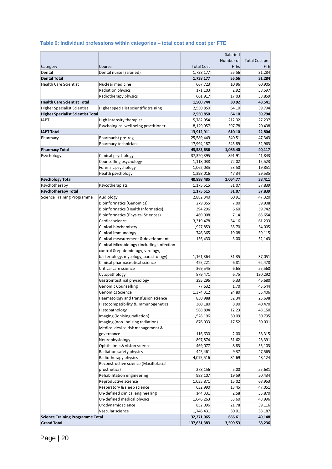### <span id="page-19-0"></span>**Table 6: Individual professions within categories – total cost and cost per FTE**

|                                                         |                                                |                        | Salaried        |                       |
|---------------------------------------------------------|------------------------------------------------|------------------------|-----------------|-----------------------|
|                                                         |                                                |                        | Number of       | <b>Total Cost per</b> |
| Category                                                | Course                                         | <b>Total Cost</b>      | <b>FTEs</b>     | FTE                   |
| Dental                                                  | Dental nurse (salaried)                        | 1,738,177              | 55.56           | 31,284                |
| <b>Dental Total</b>                                     |                                                | 1,738,177              | 55.56           | 31,284                |
| <b>Health Care Scientist</b>                            | Nuclear medicine                               | 667,723                | 10.96           | 60,905                |
|                                                         | Radiation physics                              | 171,103                | 2.92            | 58,597                |
|                                                         | Radiotherapy physics                           | 661,917                | 17.03           | 38,859                |
| <b>Health Care Scientist Total</b>                      |                                                | 1,500,744              | 30.92           | 48,541                |
| <b>Higher Specialist Scientist</b>                      | Higher specialist scientific training          | 2,550,850              | 64.10           | 39,794                |
| <b>Higher Specialist Scientist Total</b><br><b>IAPT</b> | High intensity therapist                       | 2,550,850              | 64.10<br>212.32 | 39,794                |
|                                                         | Psychological wellbeing practitioner           | 5,782,954<br>8,129,957 | 397.78          | 27,237<br>20,438      |
| <b>IAPT Total</b>                                       |                                                | 13,912,911             | 610.10          | 22,804                |
| Pharmacy                                                | Pharmacist pre-reg                             | 25,589,449             | 540.51          | 47,343                |
|                                                         | Pharmacy technicians                           | 17,994,187             | 545.89          | 32,963                |
| <b>Pharmacy Total</b>                                   |                                                | 43,583,636             | 1,086.40        | 40,117                |
| Psychology                                              | Clinical psychology                            | 37,320,395             | 891.91          | 41,843                |
|                                                         | Counselling psychology                         | 1,118,038              | 72.02           | 15,523                |
|                                                         | Forensic psychology                            | 1,062,035              | 53.50           | 19,851                |
|                                                         | Health psychology                              | 1,398,016              | 47.34           | 29,535                |
| <b>Psychology Total</b>                                 |                                                | 40,898,485             | 1,064.77        | 38,411                |
| Psychotherapy                                           | Psycotherapists                                | 1,175,515              | 31.07           | 37,839                |
| <b>Psychotherapy Total</b>                              |                                                | 1,175,515              | 31.07           | 37,839                |
| <b>Science Training Programme</b>                       | Audiology                                      | 2,882,340              | 60.91           | 47,320                |
|                                                         | <b>Bioinformatics (Genomics)</b>               | 279,355                | 7.00            | 39,908                |
|                                                         | <b>Bioinformatics (Health Informatics)</b>     | 394,296                | 6.60            | 59,742                |
|                                                         | <b>Bioinformatics (Physical Sciences)</b>      | 469,008                | 7.14            | 65,654                |
|                                                         | Cardiac science                                | 3,319,478              | 54.16           | 61,293                |
|                                                         | Clinical biochemistry                          | 1,927,859              | 35.70           | 54,005                |
|                                                         | Clinical immunology                            | 746,365                | 19.08           | 39,115                |
|                                                         | Clinical measurement & development             | 156,430                | 3.00            | 52,143                |
|                                                         | Clinical Microbiology (including: infection    |                        |                 |                       |
|                                                         | control & epidemiology, virology,              |                        |                 |                       |
|                                                         | bacteriology, mycology, parasitology)          | 1,161,364              | 31.35           | 37,051                |
|                                                         | Clinical pharmaceutical science                | 425,221                | 6.81            | 62,478                |
|                                                         | Critical care science                          | 369,545                | 6.65            | 55,560                |
|                                                         | Cytopathology                                  | 879,471                | 6.75            | 130,292               |
|                                                         | Gastrointestinal physiology                    | 295,296                | 6.33            | 46,680                |
|                                                         | <b>Genomic Counselling</b><br>Genomics Science | 77,632<br>1,374,312    | 1.70<br>24.80   | 45,544<br>55,406      |
|                                                         | Haematology and transfusion science            | 830,988                | 32.34           | 25,698                |
|                                                         | Histocompatibility & immunogenetics            | 360,180                | 8.90            | 40,470                |
|                                                         | Histopathology                                 | 588,894                | 12.23           | 48,150                |
|                                                         | Imaging (ionising radiation)                   | 1,528,196              | 30.09           | 50,795                |
|                                                         | Imaging (non-ionising radiation)               | 876,033                | 17.52           | 50,001                |
|                                                         | Medical device risk management &               |                        |                 |                       |
|                                                         | governance                                     | 116,630                | 2.00            | 58,315                |
|                                                         | Neurophysiology                                | 897,874                | 31.62           | 28,391                |
|                                                         | Ophthalmic & vision science                    | 469,077                | 8.83            | 53,103                |
|                                                         | Radiation safety physics                       | 445,461                | 9.37            | 47,565                |
|                                                         | Radiotherapy physics                           | 4,075,516              | 84.69           | 48,124                |
|                                                         | Reconstructive science (Maxillofacial          |                        |                 |                       |
|                                                         | prosthetics)                                   | 278,156                | 5.00            | 55,631                |
|                                                         | Rehabilitation engineering                     | 988,107                | 19.59           | 50,434                |
|                                                         | Reproductive science                           | 1,035,871              | 15.02           | 68,953                |
|                                                         | Respiratory & sleep science                    | 632,990                | 13.45           | 47,051                |
|                                                         | Un-defined clinical engineering                | 144,331                | 2.58            | 55,870                |
|                                                         | Un-defined medical physics                     | 1,646,263              | 33.60           | 48,996                |
|                                                         | Urodynamic science                             | 852,096                | 21.78           | 39,116                |
|                                                         | Vascular science                               | 1,746,431              | 30.01           | 58,187                |
| <b>Science Training Programme Total</b>                 |                                                | 32,271,065             | 656.61          | 49,148                |
| <b>Grand Total</b>                                      |                                                | 137,631,383            | 3,599.53        | 38,236                |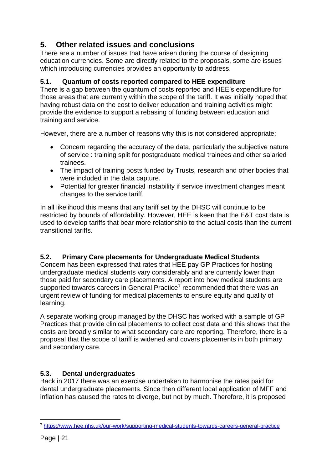# <span id="page-20-0"></span>**5. Other related issues and conclusions**

There are a number of issues that have arisen during the course of designing education currencies. Some are directly related to the proposals, some are issues which introducing currencies provides an opportunity to address.

### <span id="page-20-1"></span>**5.1. Quantum of costs reported compared to HEE expenditure**

There is a gap between the quantum of costs reported and HEE's expenditure for those areas that are currently within the scope of the tariff. It was initially hoped that having robust data on the cost to deliver education and training activities might provide the evidence to support a rebasing of funding between education and training and service.

However, there are a number of reasons why this is not considered appropriate:

- Concern regarding the accuracy of the data, particularly the subjective nature of service : training split for postgraduate medical trainees and other salaried trainees.
- The impact of training posts funded by Trusts, research and other bodies that were included in the data capture.
- Potential for greater financial instability if service investment changes meant changes to the service tariff.

In all likelihood this means that any tariff set by the DHSC will continue to be restricted by bounds of affordability. However, HEE is keen that the E&T cost data is used to develop tariffs that bear more relationship to the actual costs than the current transitional tariffs.

### <span id="page-20-2"></span>**5.2. Primary Care placements for Undergraduate Medical Students**

Concern has been expressed that rates that HEE pay GP Practices for hosting undergraduate medical students vary considerably and are currently lower than those paid for secondary care placements. A report into how medical students are supported towards careers in General Practice<sup>7</sup> recommended that there was an urgent review of funding for medical placements to ensure equity and quality of learning.

A separate working group managed by the DHSC has worked with a sample of GP Practices that provide clinical placements to collect cost data and this shows that the costs are broadly similar to what secondary care are reporting. Therefore, there is a proposal that the scope of tariff is widened and covers placements in both primary and secondary care.

### <span id="page-20-3"></span>**5.3. Dental undergraduates**

Back in 2017 there was an exercise undertaken to harmonise the rates paid for dental undergraduate placements. Since then different local application of MFF and inflation has caused the rates to diverge, but not by much. Therefore, it is proposed

<sup>1</sup> <sup>7</sup> <https://www.hee.nhs.uk/our-work/supporting-medical-students-towards-careers-general-practice>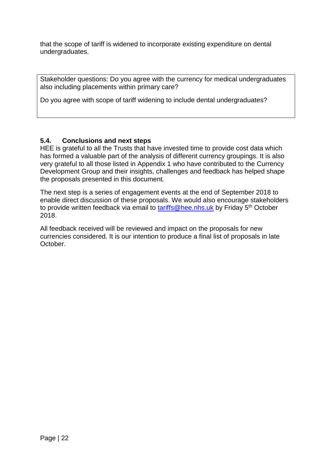that the scope of tariff is widened to incorporate existing expenditure on dental undergraduates.

Stakeholder questions: Do you agree with the currency for medical undergraduates also including placements within primary care?

Do you agree with scope of tariff widening to include dental undergraduates?

### <span id="page-21-0"></span>**5.4. Conclusions and next steps**

HEE is grateful to all the Trusts that have invested time to provide cost data which has formed a valuable part of the analysis of different currency groupings. It is also very grateful to all those listed in Appendix 1 who have contributed to the Currency Development Group and their insights, challenges and feedback has helped shape the proposals presented in this document.

The next step is a series of engagement events at the end of September 2018 to enable direct discussion of these proposals. We would also encourage stakeholders to provide written feedback via email to [tariffs@hee.nhs.uk](mailto:tariffs@hee.nhs.uk) by Friday 5<sup>th</sup> October 2018.

All feedback received will be reviewed and impact on the proposals for new currencies considered. It is our intention to produce a final list of proposals in late October.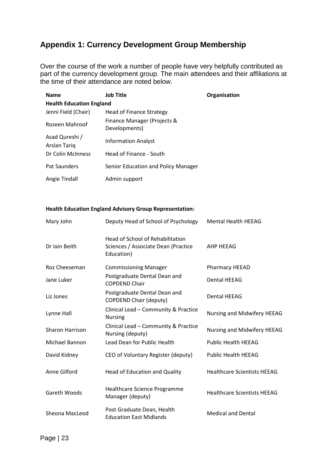## <span id="page-22-0"></span>**Appendix 1: Currency Development Group Membership**

Over the course of the work a number of people have very helpfully contributed as part of the currency development group. The main attendees and their affiliations at the time of their attendance are noted below.

| <b>Name</b>                     | <b>Job Title</b>                             | Organisation |  |  |  |  |
|---------------------------------|----------------------------------------------|--------------|--|--|--|--|
| <b>Health Education England</b> |                                              |              |  |  |  |  |
| Jenni Field (Chair)             | <b>Head of Finance Strategy</b>              |              |  |  |  |  |
| Rozeen Mahroof                  | Finance Manager (Projects &<br>Developments) |              |  |  |  |  |
| Asad Qureshi /<br>Arslan Tariq  | <b>Information Analyst</b>                   |              |  |  |  |  |
| Dr Colin McInness               | Head of Finance - South                      |              |  |  |  |  |
| Pat Saunders                    | Senior Education and Policy Manager          |              |  |  |  |  |
| Angie Tindall                   | Admin support                                |              |  |  |  |  |

#### **Health Education England Advisory Group Representation:**

| Mary John              | Deputy Head of School of Psychology                                                          | <b>Mental Health HEEAG</b>         |
|------------------------|----------------------------------------------------------------------------------------------|------------------------------------|
| Dr Iain Beith          | <b>Head of School of Rehabilitation</b><br>Sciences / Associate Dean (Practice<br>Education) | AHP HEEAG                          |
| Roz Cheeseman          | <b>Commissioning Manager</b>                                                                 | Pharmacy HEEAD                     |
| Jane Luker             | Postgraduate Dental Dean and<br><b>COPDEND Chair</b>                                         | <b>Dental HEEAG</b>                |
| Liz Jones              | Postgraduate Dental Dean and<br><b>COPDEND Chair (deputy)</b>                                | <b>Dental HEEAG</b>                |
| Lynne Hall             | Clinical Lead - Community & Practice<br><b>Nursing</b>                                       | Nursing and Midwifery HEEAG        |
| <b>Sharon Harrison</b> | Clinical Lead - Community & Practice<br>Nursing (deputy)                                     | Nursing and Midwifery HEEAG        |
| <b>Michael Bannon</b>  | Lead Dean for Public Health                                                                  | <b>Public Health HEEAG</b>         |
| David Kidney           | CEO of Voluntary Register (deputy)                                                           | <b>Public Health HEEAG</b>         |
| Anne Gilford           | Head of Education and Quality                                                                | <b>Healthcare Scientists HEEAG</b> |
| Gareth Woods           | Healthcare Science Programme<br>Manager (deputy)                                             | <b>Healthcare Scientists HEEAG</b> |
| Sheona MacLeod         | Post Graduate Dean, Health<br><b>Education East Midlands</b>                                 | <b>Medical and Dental</b>          |